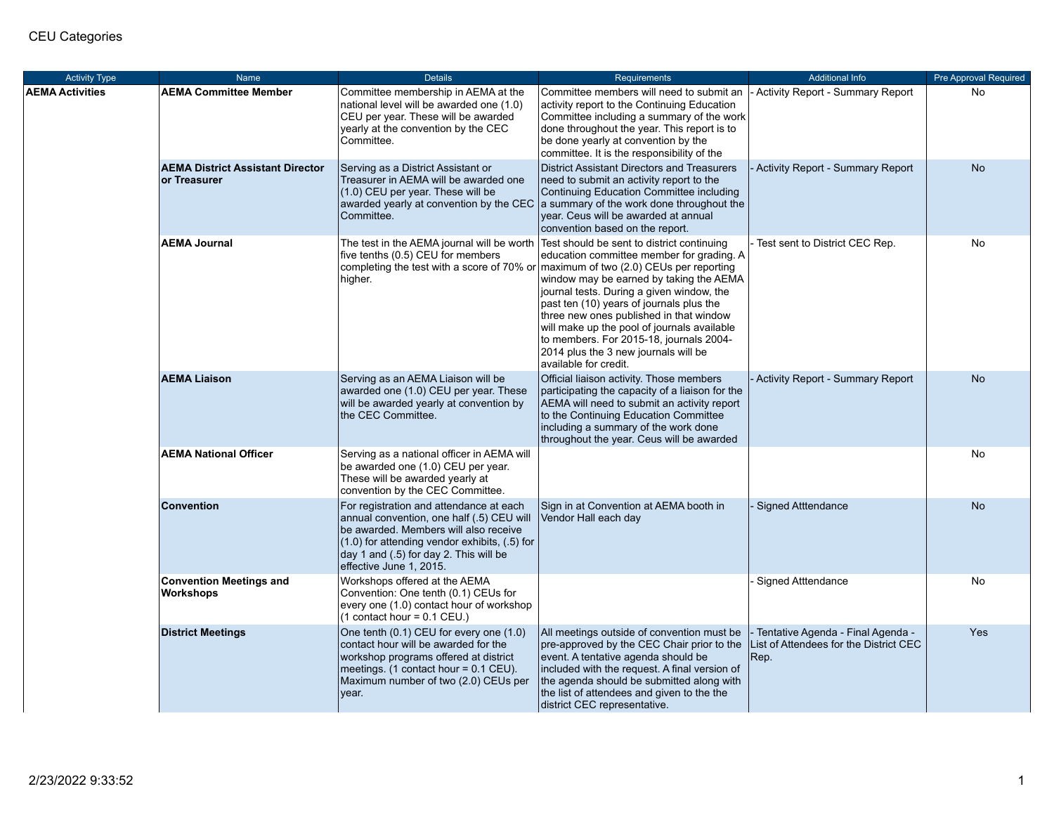| <b>Activity Type</b>   | <b>Name</b>                                             | <b>Details</b>                                                                                                                                                                                                                                          | Requirements                                                                                                                                                                                                                                                                                                                                                                                                                                                                                                            | <b>Additional Info</b>                                                              | <b>Pre Approval Required</b> |
|------------------------|---------------------------------------------------------|---------------------------------------------------------------------------------------------------------------------------------------------------------------------------------------------------------------------------------------------------------|-------------------------------------------------------------------------------------------------------------------------------------------------------------------------------------------------------------------------------------------------------------------------------------------------------------------------------------------------------------------------------------------------------------------------------------------------------------------------------------------------------------------------|-------------------------------------------------------------------------------------|------------------------------|
| <b>AEMA Activities</b> | <b>AEMA Committee Member</b>                            | Committee membership in AEMA at the<br>national level will be awarded one (1.0)<br>CEU per year. These will be awarded<br>yearly at the convention by the CEC<br>Committee.                                                                             | Committee members will need to submit an<br>activity report to the Continuing Education<br>Committee including a summary of the work<br>done throughout the year. This report is to<br>be done yearly at convention by the<br>committee. It is the responsibility of the                                                                                                                                                                                                                                                | Activity Report - Summary Report                                                    | No                           |
|                        | <b>AEMA District Assistant Director</b><br>or Treasurer | Serving as a District Assistant or<br>Treasurer in AEMA will be awarded one<br>(1.0) CEU per year. These will be<br>awarded yearly at convention by the CEC<br>Committee.                                                                               | District Assistant Directors and Treasurers<br>need to submit an activity report to the<br>Continuing Education Committee including<br>a summary of the work done throughout the<br>year. Ceus will be awarded at annual<br>convention based on the report.                                                                                                                                                                                                                                                             | Activity Report - Summary Report                                                    | <b>No</b>                    |
|                        | <b>AEMA Journal</b>                                     | The test in the AEMA journal will be worth<br>five tenths (0.5) CEU for members<br>higher.                                                                                                                                                              | Test should be sent to district continuing<br>education committee member for grading. A<br>completing the test with a score of 70% or maximum of two (2.0) CEUs per reporting<br>window may be earned by taking the AEMA<br>journal tests. During a given window, the<br>past ten (10) years of journals plus the<br>three new ones published in that window<br>will make up the pool of journals available<br>to members. For 2015-18, journals 2004-<br>2014 plus the 3 new journals will be<br>available for credit. | Test sent to District CEC Rep.                                                      | No                           |
|                        | <b>AEMA Liaison</b>                                     | Serving as an AEMA Liaison will be<br>awarded one (1.0) CEU per year. These<br>will be awarded yearly at convention by<br>the CEC Committee.                                                                                                            | Official liaison activity. Those members<br>participating the capacity of a liaison for the<br>AEMA will need to submit an activity report<br>to the Continuing Education Committee<br>including a summary of the work done<br>throughout the year. Ceus will be awarded                                                                                                                                                                                                                                                | <b>Activity Report - Summary Report</b>                                             | <b>No</b>                    |
|                        | <b>AEMA National Officer</b>                            | Serving as a national officer in AEMA will<br>be awarded one (1.0) CEU per year.<br>These will be awarded yearly at<br>convention by the CEC Committee.                                                                                                 |                                                                                                                                                                                                                                                                                                                                                                                                                                                                                                                         |                                                                                     | No                           |
|                        | <b>Convention</b>                                       | For registration and attendance at each<br>annual convention, one half (.5) CEU will<br>be awarded. Members will also receive<br>$(1.0)$ for attending vendor exhibits, $(.5)$ for<br>day 1 and (.5) for day 2. This will be<br>effective June 1, 2015. | Sign in at Convention at AEMA booth in<br>Vendor Hall each day                                                                                                                                                                                                                                                                                                                                                                                                                                                          | <b>Signed Atttendance</b>                                                           | <b>No</b>                    |
|                        | <b>Convention Meetings and</b><br>Workshops             | Workshops offered at the AEMA<br>Convention: One tenth (0.1) CEUs for<br>every one (1.0) contact hour of workshop<br>$(1$ contact hour = 0.1 CEU.)                                                                                                      |                                                                                                                                                                                                                                                                                                                                                                                                                                                                                                                         | <b>Signed Atttendance</b>                                                           | No                           |
|                        | <b>District Meetings</b>                                | One tenth (0.1) CEU for every one (1.0)<br>contact hour will be awarded for the<br>workshop programs offered at district<br>meetings. (1 contact hour = $0.1$ CEU).<br>Maximum number of two (2.0) CEUs per<br>vear.                                    | All meetings outside of convention must be<br>pre-approved by the CEC Chair prior to the<br>event. A tentative agenda should be<br>included with the request. A final version of<br>the agenda should be submitted along with<br>the list of attendees and given to the the<br>district CEC representative.                                                                                                                                                                                                             | Tentative Agenda - Final Agenda -<br>List of Attendees for the District CEC<br>Rep. | Yes                          |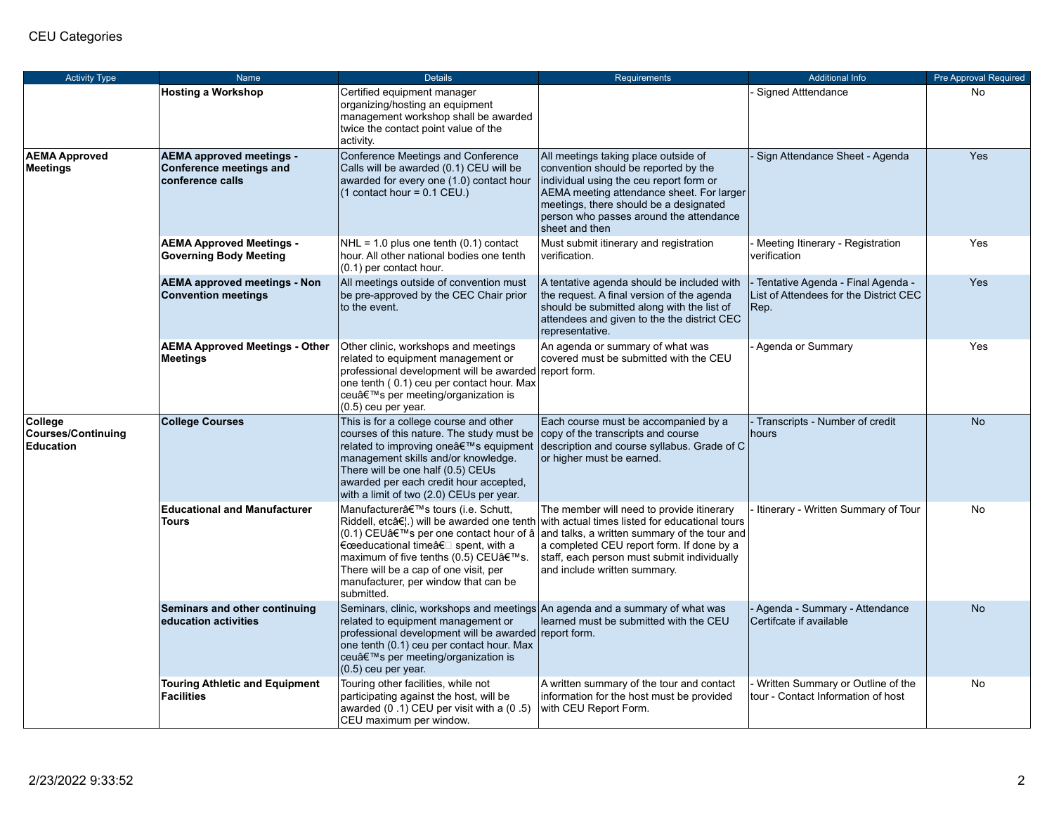| <b>Activity Type</b>                              | Name                                                                                  | <b>Details</b>                                                                                                                                                                                                                                                                                | <b>Requirements</b>                                                                                                                                                                                                                                                                                                                                                                             | <b>Additional Info</b>                                                              | Pre Approval Required |
|---------------------------------------------------|---------------------------------------------------------------------------------------|-----------------------------------------------------------------------------------------------------------------------------------------------------------------------------------------------------------------------------------------------------------------------------------------------|-------------------------------------------------------------------------------------------------------------------------------------------------------------------------------------------------------------------------------------------------------------------------------------------------------------------------------------------------------------------------------------------------|-------------------------------------------------------------------------------------|-----------------------|
|                                                   | <b>Hosting a Workshop</b>                                                             | Certified equipment manager<br>organizing/hosting an equipment<br>management workshop shall be awarded<br>twice the contact point value of the<br>activity.                                                                                                                                   |                                                                                                                                                                                                                                                                                                                                                                                                 | <b>Signed Atttendance</b>                                                           | No                    |
| <b>AEMA Approved</b><br>Meetings                  | <b>AEMA approved meetings -</b><br><b>Conference meetings and</b><br>conference calls | Conference Meetings and Conference<br>Calls will be awarded (0.1) CEU will be<br>awarded for every one (1.0) contact hour<br>$(1$ contact hour = 0.1 CEU.)                                                                                                                                    | All meetings taking place outside of<br>convention should be reported by the<br>individual using the ceu report form or<br>AEMA meeting attendance sheet. For larger<br>meetings, there should be a designated<br>person who passes around the attendance<br>sheet and then                                                                                                                     | Sign Attendance Sheet - Agenda                                                      | Yes                   |
|                                                   | <b>AEMA Approved Meetings -</b><br><b>Governing Body Meeting</b>                      | $NHL = 1.0$ plus one tenth $(0.1)$ contact<br>hour. All other national bodies one tenth<br>(0.1) per contact hour.                                                                                                                                                                            | Must submit itinerary and registration<br>verification.                                                                                                                                                                                                                                                                                                                                         | Meeting Itinerary - Registration<br>verification                                    | Yes                   |
|                                                   | <b>AEMA approved meetings - Non</b><br><b>Convention meetings</b>                     | All meetings outside of convention must<br>be pre-approved by the CEC Chair prior<br>to the event.                                                                                                                                                                                            | A tentative agenda should be included with<br>the request. A final version of the agenda<br>should be submitted along with the list of<br>attendees and given to the the district CEC<br>representative.                                                                                                                                                                                        | Tentative Agenda - Final Agenda -<br>List of Attendees for the District CEC<br>Rep. | Yes                   |
|                                                   | <b>AEMA Approved Meetings - Other</b><br>Meetings                                     | Other clinic, workshops and meetings<br>related to equipment management or<br>professional development will be awarded report form.<br>one tenth (0.1) ceu per contact hour. Max<br>ceu's per meeting/organization is<br>$(0.5)$ ceu per year.                                                | An agenda or summary of what was<br>covered must be submitted with the CEU                                                                                                                                                                                                                                                                                                                      | Agenda or Summary                                                                   | Yes                   |
| College<br><b>Courses/Continuing</b><br>Education | <b>College Courses</b>                                                                | This is for a college course and other<br>courses of this nature. The study must be<br>related to improving one's equipment<br>management skills and/or knowledge.<br>There will be one half (0.5) CEUs<br>awarded per each credit hour accepted,<br>with a limit of two (2.0) CEUs per year. | Each course must be accompanied by a<br>copy of the transcripts and course<br>description and course syllabus. Grade of C<br>or higher must be earned.                                                                                                                                                                                                                                          | - Transcripts - Number of credit<br>hours                                           | <b>No</b>             |
|                                                   | <b>Educational and Manufacturer</b><br>Tours                                          | Manufacturer's tours (i.e. Schutt,<br>€œeducational timeâ€□ spent, with a<br>maximum of five tenths (0.5) CEU's.<br>There will be a cap of one visit, per<br>manufacturer, per window that can be<br>submitted.                                                                               | The member will need to provide itinerary<br>Riddell, etc $\hat{\sigma}(\cdot)$ will be awarded one tenth with actual times listed for educational tours<br>(0.1) CEU $a \in \mathbb{N}$ s per one contact hour of $a$ and talks, a written summary of the tour and<br>a completed CEU report form. If done by a<br>staff, each person must submit individually<br>and include written summary. | Itinerary - Written Summary of Tour                                                 | <b>No</b>             |
|                                                   | Seminars and other continuing<br>education activities                                 | Seminars, clinic, workshops and meetings An agenda and a summary of what was<br>related to equipment management or<br>professional development will be awarded report form.<br>one tenth (0.1) ceu per contact hour. Max<br>ceu's per meeting/organization is<br>$(0.5)$ ceu per year.        | learned must be submitted with the CEU                                                                                                                                                                                                                                                                                                                                                          | - Agenda - Summary - Attendance<br>Certifcate if available                          | <b>No</b>             |
|                                                   | <b>Touring Athletic and Equipment</b><br><b>Facilities</b>                            | Touring other facilities, while not<br>participating against the host, will be<br>awarded $(0.1)$ CEU per visit with a $(0.5)$<br>CEU maximum per window.                                                                                                                                     | A written summary of the tour and contact<br>information for the host must be provided<br>with CEU Report Form.                                                                                                                                                                                                                                                                                 | Written Summary or Outline of the<br>tour - Contact Information of host             | <b>No</b>             |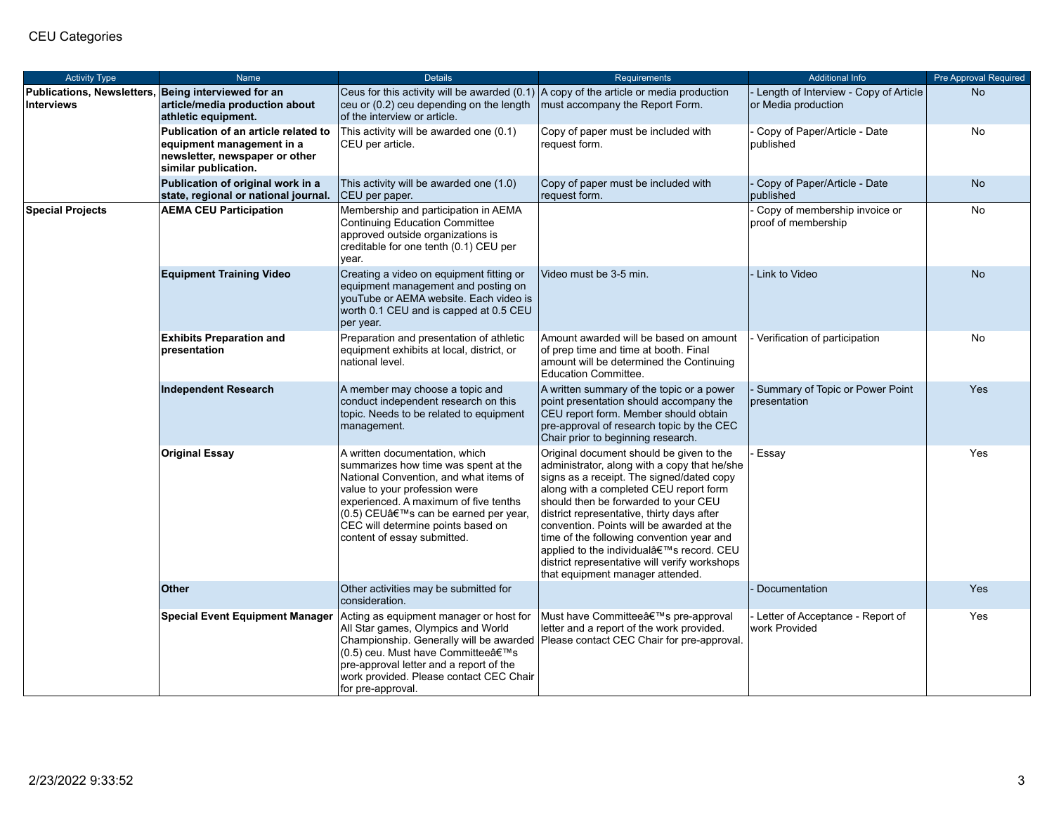| <b>Activity Type</b>                                                     | Name                                                                                                                        | <b>Details</b>                                                                                                                                                                                                                                                                                         | <b>Requirements</b>                                                                                                                                                                                                                                                                                                                                                                                                                                                                             | <b>Additional Info</b>                                       | Pre Approval Required |
|--------------------------------------------------------------------------|-----------------------------------------------------------------------------------------------------------------------------|--------------------------------------------------------------------------------------------------------------------------------------------------------------------------------------------------------------------------------------------------------------------------------------------------------|-------------------------------------------------------------------------------------------------------------------------------------------------------------------------------------------------------------------------------------------------------------------------------------------------------------------------------------------------------------------------------------------------------------------------------------------------------------------------------------------------|--------------------------------------------------------------|-----------------------|
| Publications, Newsletters, Being interviewed for an<br><b>Interviews</b> | article/media production about<br>athletic equipment.                                                                       | Ceus for this activity will be awarded (0.1) $ A \text{ copy of the article or media production}$<br>ceu or (0.2) ceu depending on the length<br>of the interview or article.                                                                                                                          | must accompany the Report Form.                                                                                                                                                                                                                                                                                                                                                                                                                                                                 | Length of Interview - Copy of Article<br>or Media production | <b>No</b>             |
|                                                                          | Publication of an article related to<br>equipment management in a<br>newsletter, newspaper or other<br>similar publication. | This activity will be awarded one (0.1)<br>CEU per article.                                                                                                                                                                                                                                            | Copy of paper must be included with<br>request form.                                                                                                                                                                                                                                                                                                                                                                                                                                            | Copy of Paper/Article - Date<br>published                    | No                    |
|                                                                          | Publication of original work in a<br>state, regional or national journal.                                                   | This activity will be awarded one (1.0)<br>CEU per paper.                                                                                                                                                                                                                                              | Copy of paper must be included with<br>request form.                                                                                                                                                                                                                                                                                                                                                                                                                                            | Copy of Paper/Article - Date<br>published                    | <b>No</b>             |
| <b>Special Projects</b>                                                  | <b>AEMA CEU Participation</b>                                                                                               | Membership and participation in AEMA<br>Continuing Education Committee<br>approved outside organizations is<br>creditable for one tenth (0.1) CEU per<br>year.                                                                                                                                         |                                                                                                                                                                                                                                                                                                                                                                                                                                                                                                 | Copy of membership invoice or<br>proof of membership         | No                    |
|                                                                          | <b>Equipment Training Video</b>                                                                                             | Creating a video on equipment fitting or<br>equipment management and posting on<br>youTube or AEMA website. Each video is<br>worth 0.1 CEU and is capped at 0.5 CEU<br>per year.                                                                                                                       | Video must be 3-5 min.                                                                                                                                                                                                                                                                                                                                                                                                                                                                          | Link to Video                                                | <b>No</b>             |
|                                                                          | <b>Exhibits Preparation and</b><br>presentation                                                                             | Preparation and presentation of athletic<br>equipment exhibits at local, district, or<br>national level.                                                                                                                                                                                               | Amount awarded will be based on amount<br>of prep time and time at booth. Final<br>amount will be determined the Continuing<br><b>Education Committee.</b>                                                                                                                                                                                                                                                                                                                                      | Verification of participation                                | No                    |
|                                                                          | <b>Independent Research</b>                                                                                                 | A member may choose a topic and<br>conduct independent research on this<br>topic. Needs to be related to equipment<br>management.                                                                                                                                                                      | A written summary of the topic or a power<br>point presentation should accompany the<br>CEU report form. Member should obtain<br>pre-approval of research topic by the CEC<br>Chair prior to beginning research.                                                                                                                                                                                                                                                                                | Summary of Topic or Power Point<br>presentation              | Yes                   |
|                                                                          | <b>Original Essay</b>                                                                                                       | A written documentation, which<br>summarizes how time was spent at the<br>National Convention, and what items of<br>value to your profession were<br>experienced. A maximum of five tenths<br>(0.5) CEU's can be earned per year,<br>CEC will determine points based on<br>content of essay submitted. | Original document should be given to the<br>administrator, along with a copy that he/she<br>signs as a receipt. The signed/dated copy<br>along with a completed CEU report form<br>should then be forwarded to your CEU<br>district representative, thirty days after<br>convention. Points will be awarded at the<br>time of the following convention year and<br>applied to the individual's record. CEU<br>district representative will verify workshops<br>that equipment manager attended. | Essay                                                        | Yes                   |
|                                                                          | <b>Other</b>                                                                                                                | Other activities may be submitted for<br>consideration.                                                                                                                                                                                                                                                |                                                                                                                                                                                                                                                                                                                                                                                                                                                                                                 | Documentation                                                | <b>Yes</b>            |
|                                                                          | <b>Special Event Equipment Manager</b>                                                                                      | Acting as equipment manager or host for<br>All Star games, Olympics and World<br>Championship. Generally will be awarded<br>(0.5) ceu. Must have Committee's<br>pre-approval letter and a report of the<br>work provided. Please contact CEC Chair<br>for pre-approval.                                | Must have Committee's pre-approval<br>letter and a report of the work provided.<br>Please contact CEC Chair for pre-approval.                                                                                                                                                                                                                                                                                                                                                                   | Letter of Acceptance - Report of<br>work Provided            | Yes                   |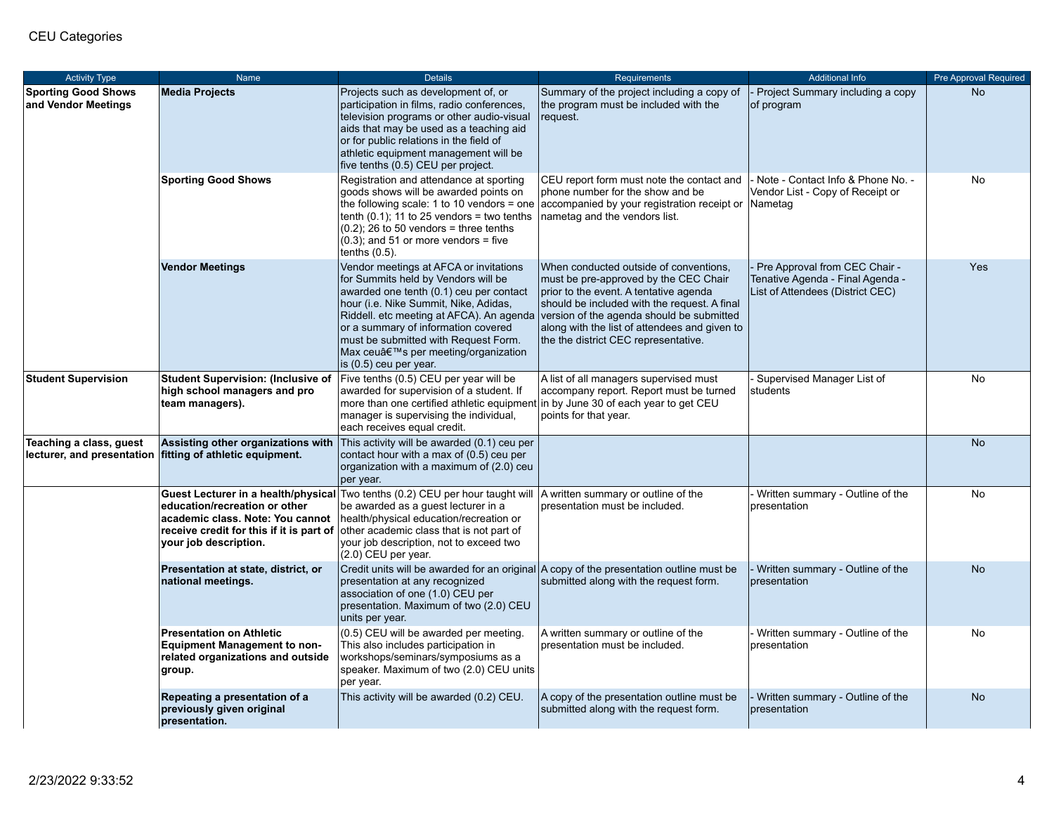| <b>Activity Type</b>                              | Name                                                                                                                                                                          | <b>Details</b>                                                                                                                                                                                                                                                                                                                                                 | <b>Requirements</b>                                                                                                                                                                                                                                                                                             | <b>Additional Info</b>                                                                                | <b>Pre Approval Required</b> |
|---------------------------------------------------|-------------------------------------------------------------------------------------------------------------------------------------------------------------------------------|----------------------------------------------------------------------------------------------------------------------------------------------------------------------------------------------------------------------------------------------------------------------------------------------------------------------------------------------------------------|-----------------------------------------------------------------------------------------------------------------------------------------------------------------------------------------------------------------------------------------------------------------------------------------------------------------|-------------------------------------------------------------------------------------------------------|------------------------------|
| <b>Sporting Good Shows</b><br>and Vendor Meetings | <b>Media Projects</b>                                                                                                                                                         | Projects such as development of, or<br>participation in films, radio conferences,<br>television programs or other audio-visual<br>aids that may be used as a teaching aid<br>or for public relations in the field of<br>athletic equipment management will be<br>five tenths (0.5) CEU per project.                                                            | Summary of the project including a copy of<br>the program must be included with the<br>request.                                                                                                                                                                                                                 | Project Summary including a copy<br>of program                                                        | <b>No</b>                    |
|                                                   | <b>Sporting Good Shows</b>                                                                                                                                                    | Registration and attendance at sporting<br>goods shows will be awarded points on<br>the following scale: 1 to 10 vendors = one<br>tenth $(0.1)$ ; 11 to 25 vendors = two tenths<br>$(0.2)$ ; 26 to 50 vendors = three tenths<br>$(0.3)$ ; and 51 or more vendors = five<br>tenths $(0.5)$ .                                                                    | CEU report form must note the contact and<br>phone number for the show and be<br>accompanied by your registration receipt or Nametag<br>nametag and the vendors list.                                                                                                                                           | Note - Contact Info & Phone No. -<br>Vendor List - Copy of Receipt or                                 | <b>No</b>                    |
|                                                   | <b>Vendor Meetings</b>                                                                                                                                                        | Vendor meetings at AFCA or invitations<br>for Summits held by Vendors will be<br>awarded one tenth (0.1) ceu per contact<br>hour (i.e. Nike Summit, Nike, Adidas,<br>Riddell. etc meeting at AFCA). An agenda<br>or a summary of information covered<br>must be submitted with Request Form.<br>Max ceu's per meeting/organization<br>is $(0.5)$ ceu per year. | When conducted outside of conventions,<br>must be pre-approved by the CEC Chair<br>prior to the event. A tentative agenda<br>should be included with the request. A final<br>version of the agenda should be submitted<br>along with the list of attendees and given to<br>the the district CEC representative. | Pre Approval from CEC Chair -<br>Tenative Agenda - Final Agenda -<br>List of Attendees (District CEC) | Yes                          |
| <b>Student Supervision</b>                        | <b>Student Supervision: (Inclusive of</b><br>high school managers and pro<br>team managers).                                                                                  | Five tenths (0.5) CEU per year will be<br>awarded for supervision of a student. If<br>more than one certified athletic equipment<br>manager is supervising the individual,<br>each receives equal credit.                                                                                                                                                      | A list of all managers supervised must<br>accompany report. Report must be turned<br>In by June 30 of each year to get CEU<br>points for that year.                                                                                                                                                             | Supervised Manager List of<br>students                                                                | <b>No</b>                    |
| Teaching a class, guest                           | Assisting other organizations with<br>lecturer, and presentation fitting of athletic equipment.                                                                               | This activity will be awarded (0.1) ceu per<br>contact hour with a max of (0.5) ceu per<br>organization with a maximum of (2.0) ceu<br>per year.                                                                                                                                                                                                               |                                                                                                                                                                                                                                                                                                                 |                                                                                                       | <b>No</b>                    |
|                                                   | Guest Lecturer in a health/physical<br>education/recreation or other<br>academic class. Note: You cannot<br>receive credit for this if it is part of<br>your job description. | Two tenths (0.2) CEU per hour taught will<br>be awarded as a guest lecturer in a<br>health/physical education/recreation or<br>other academic class that is not part of<br>your job description, not to exceed two<br>$(2.0)$ CEU per year.                                                                                                                    | A written summary or outline of the<br>presentation must be included.                                                                                                                                                                                                                                           | Written summary - Outline of the<br>presentation                                                      | <b>No</b>                    |
|                                                   | Presentation at state, district, or<br>national meetings.                                                                                                                     | presentation at any recognized<br>association of one (1.0) CEU per<br>presentation. Maximum of two (2.0) CEU<br>units per year.                                                                                                                                                                                                                                | Credit units will be awarded for an original A copy of the presentation outline must be<br>submitted along with the request form.                                                                                                                                                                               | Written summary - Outline of the<br>presentation                                                      | <b>No</b>                    |
|                                                   | <b>Presentation on Athletic</b><br><b>Equipment Management to non-</b><br>related organizations and outside<br>group.                                                         | (0.5) CEU will be awarded per meeting.<br>This also includes participation in<br>workshops/seminars/symposiums as a<br>speaker. Maximum of two (2.0) CEU units<br>per year.                                                                                                                                                                                    | A written summary or outline of the<br>presentation must be included.                                                                                                                                                                                                                                           | Written summary - Outline of the<br>presentation                                                      | <b>No</b>                    |
|                                                   | Repeating a presentation of a<br>previously given original<br>presentation.                                                                                                   | This activity will be awarded (0.2) CEU.                                                                                                                                                                                                                                                                                                                       | A copy of the presentation outline must be<br>submitted along with the request form.                                                                                                                                                                                                                            | Written summary - Outline of the<br>presentation                                                      | <b>No</b>                    |